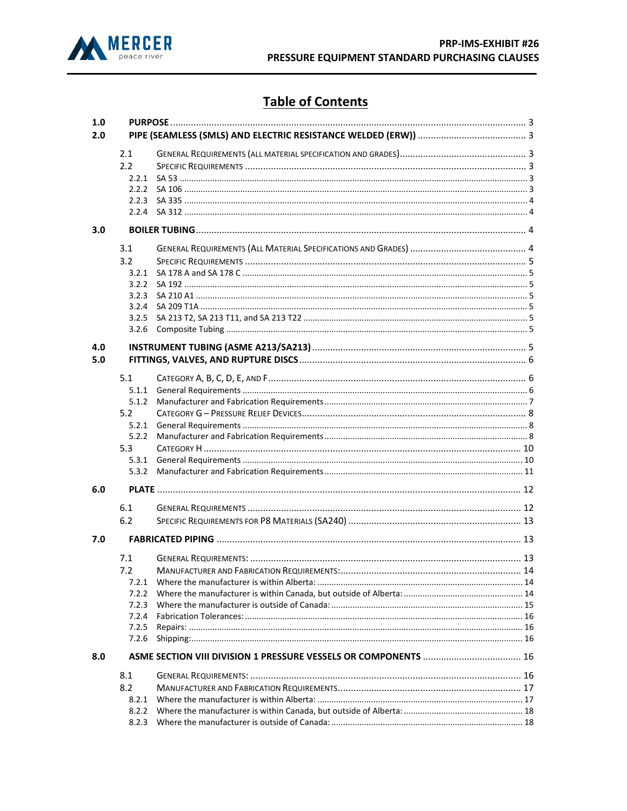

# **Table of Contents**

| 1.0 |       |  |  |
|-----|-------|--|--|
| 2.0 |       |  |  |
|     | 2.1   |  |  |
|     | 2.2   |  |  |
|     | 2.2.1 |  |  |
|     |       |  |  |
|     |       |  |  |
|     |       |  |  |
| 3.0 |       |  |  |
|     | 3.1   |  |  |
|     | 3.2   |  |  |
|     | 3.2.1 |  |  |
|     | 3.2.2 |  |  |
|     | 3.2.3 |  |  |
|     | 3.2.4 |  |  |
|     | 3.2.5 |  |  |
|     | 3.2.6 |  |  |
| 4.0 |       |  |  |
| 5.0 |       |  |  |
|     | 5.1   |  |  |
|     |       |  |  |
|     | 5.1.2 |  |  |
|     | 5.2   |  |  |
|     | 5.2.1 |  |  |
|     | 5.2.2 |  |  |
|     | 5.3   |  |  |
|     | 5.3.1 |  |  |
|     | 5.3.2 |  |  |
| 6.0 |       |  |  |
|     | 6.1   |  |  |
|     | 6.2   |  |  |
| 7.0 |       |  |  |
|     | 7.1   |  |  |
|     | 7.2   |  |  |
|     | 7.2.1 |  |  |
|     | 7.2.2 |  |  |
|     | 7.2.3 |  |  |
|     | 7.2.4 |  |  |
|     | 7.2.5 |  |  |
|     | 7.2.6 |  |  |
| 8.0 |       |  |  |
|     | 8.1   |  |  |
|     | 8.2   |  |  |
|     | 8.2.1 |  |  |
|     |       |  |  |
|     |       |  |  |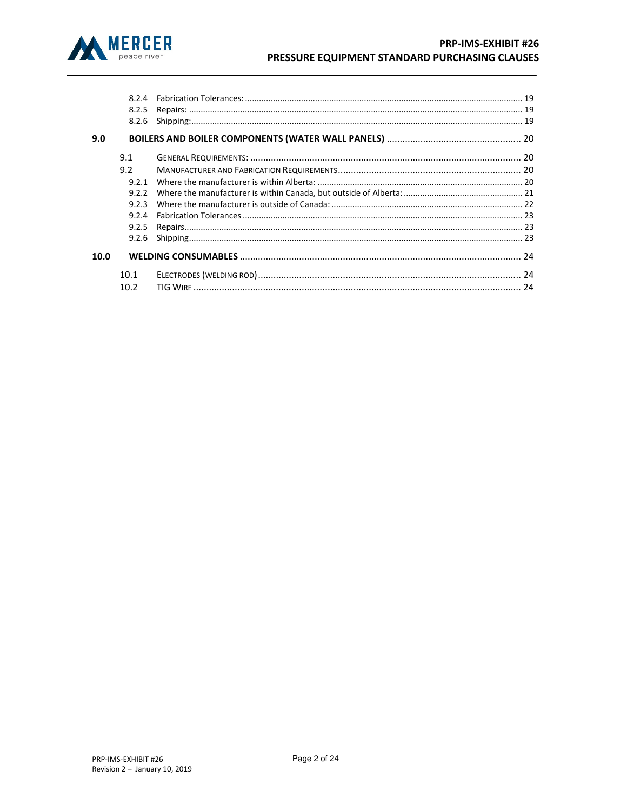

|      | 8.2.5 |                                          |  |
|------|-------|------------------------------------------|--|
|      | 8.2.6 | Prepairs:<br>Repairs:<br>19<br>Shipping: |  |
| 9.0  |       |                                          |  |
|      | 9.1   |                                          |  |
|      | 9.2   |                                          |  |
|      | 9.2.1 |                                          |  |
|      | 9.2.2 |                                          |  |
|      | 9.2.3 |                                          |  |
|      | 9.2.4 |                                          |  |
|      | 9.2.5 |                                          |  |
|      | 9.2.6 |                                          |  |
| 10.0 |       |                                          |  |
|      | 10.1  |                                          |  |
|      | 10.2  |                                          |  |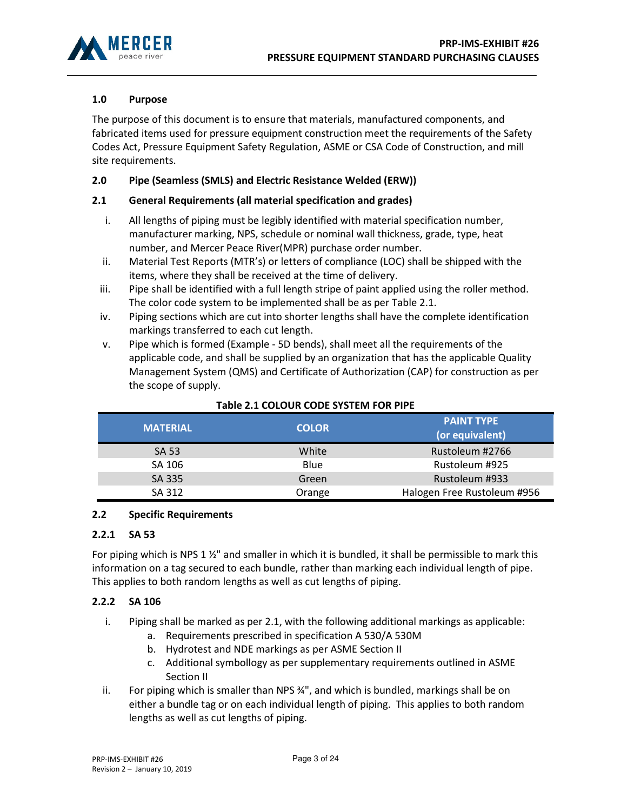

# 1.0 Purpose

The purpose of this document is to ensure that materials, manufactured components, and fabricated items used for pressure equipment construction meet the requirements of the Safety Codes Act, Pressure Equipment Safety Regulation, ASME or CSA Code of Construction, and mill site requirements.

# 2.0 Pipe (Seamless (SMLS) and Electric Resistance Welded (ERW))

## 2.1 General Requirements (all material specification and grades)

- i. All lengths of piping must be legibly identified with material specification number, manufacturer marking, NPS, schedule or nominal wall thickness, grade, type, heat number, and Mercer Peace River(MPR) purchase order number.
- ii. Material Test Reports (MTR's) or letters of compliance (LOC) shall be shipped with the items, where they shall be received at the time of delivery.
- iii. Pipe shall be identified with a full length stripe of paint applied using the roller method. The color code system to be implemented shall be as per Table 2.1.
- iv. Piping sections which are cut into shorter lengths shall have the complete identification markings transferred to each cut length.
- v. Pipe which is formed (Example 5D bends), shall meet all the requirements of the applicable code, and shall be supplied by an organization that has the applicable Quality Management System (QMS) and Certificate of Authorization (CAP) for construction as per the scope of supply.

| <b>MATERIAL</b> | <b>COLOR</b> | <b>PAINT TYPE</b><br>(or equivalent) |
|-----------------|--------------|--------------------------------------|
| <b>SA 53</b>    | White        | Rustoleum #2766                      |
| SA 106          | <b>Blue</b>  | Rustoleum #925                       |
| SA 335          | Green        | Rustoleum #933                       |
| SA 312          | Orange       | Halogen Free Rustoleum #956          |

## Table 2.1 COLOUR CODE SYSTEM FOR PIPE

## 2.2 Specific Requirements

#### 2.2.1 SA 53

For piping which is NPS 1  $\frac{1}{2}$ " and smaller in which it is bundled, it shall be permissible to mark this information on a tag secured to each bundle, rather than marking each individual length of pipe. This applies to both random lengths as well as cut lengths of piping.

## 2.2.2 SA 106

- i. Piping shall be marked as per 2.1, with the following additional markings as applicable:
	- a. Requirements prescribed in specification A 530/A 530M
	- b. Hydrotest and NDE markings as per ASME Section II
	- c. Additional symbollogy as per supplementary requirements outlined in ASME Section II
- ii. For piping which is smaller than NPS  $\frac{3}{4}$ ", and which is bundled, markings shall be on either a bundle tag or on each individual length of piping. This applies to both random lengths as well as cut lengths of piping.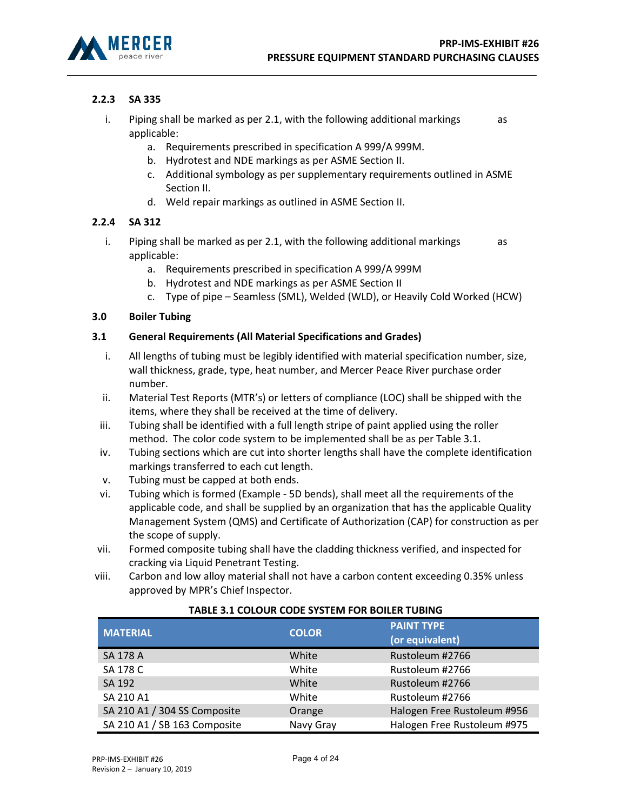

# 2.2.3 SA 335

- i. Piping shall be marked as per 2.1, with the following additional markings  $\qquad$  as applicable:
	- a. Requirements prescribed in specification A 999/A 999M.
	- b. Hydrotest and NDE markings as per ASME Section II.
	- c. Additional symbology as per supplementary requirements outlined in ASME Section II.
	- d. Weld repair markings as outlined in ASME Section II.

## 2.2.4 SA 312

- i. Piping shall be marked as per 2.1, with the following additional markings as applicable:
	- a. Requirements prescribed in specification A 999/A 999M
	- b. Hydrotest and NDE markings as per ASME Section II
	- c. Type of pipe Seamless (SML), Welded (WLD), or Heavily Cold Worked (HCW)

## 3.0 Boiler Tubing

## 3.1 General Requirements (All Material Specifications and Grades)

- i. All lengths of tubing must be legibly identified with material specification number, size, wall thickness, grade, type, heat number, and Mercer Peace River purchase order number.
- ii. Material Test Reports (MTR's) or letters of compliance (LOC) shall be shipped with the items, where they shall be received at the time of delivery.
- iii. Tubing shall be identified with a full length stripe of paint applied using the roller method. The color code system to be implemented shall be as per Table 3.1.
- iv. Tubing sections which are cut into shorter lengths shall have the complete identification markings transferred to each cut length.
- v. Tubing must be capped at both ends.
- vi. Tubing which is formed (Example 5D bends), shall meet all the requirements of the applicable code, and shall be supplied by an organization that has the applicable Quality Management System (QMS) and Certificate of Authorization (CAP) for construction as per the scope of supply.
- vii. Formed composite tubing shall have the cladding thickness verified, and inspected for cracking via Liquid Penetrant Testing.
- viii. Carbon and low alloy material shall not have a carbon content exceeding 0.35% unless approved by MPR's Chief Inspector.

| <b>MATERIAL</b>              | <b>COLOR</b> | <b>PAINT TYPE</b><br>(or equivalent) |
|------------------------------|--------------|--------------------------------------|
| <b>SA 178 A</b>              | White        | Rustoleum #2766                      |
| SA 178 C                     | White        | Rustoleum #2766                      |
| SA 192                       | White        | Rustoleum #2766                      |
| SA 210 A1                    | White        | Rustoleum #2766                      |
| SA 210 A1 / 304 SS Composite | Orange       | Halogen Free Rustoleum #956          |
| SA 210 A1 / SB 163 Composite | Navy Gray    | Halogen Free Rustoleum #975          |

## TABLE 3.1 COLOUR CODE SYSTEM FOR BOILER TUBING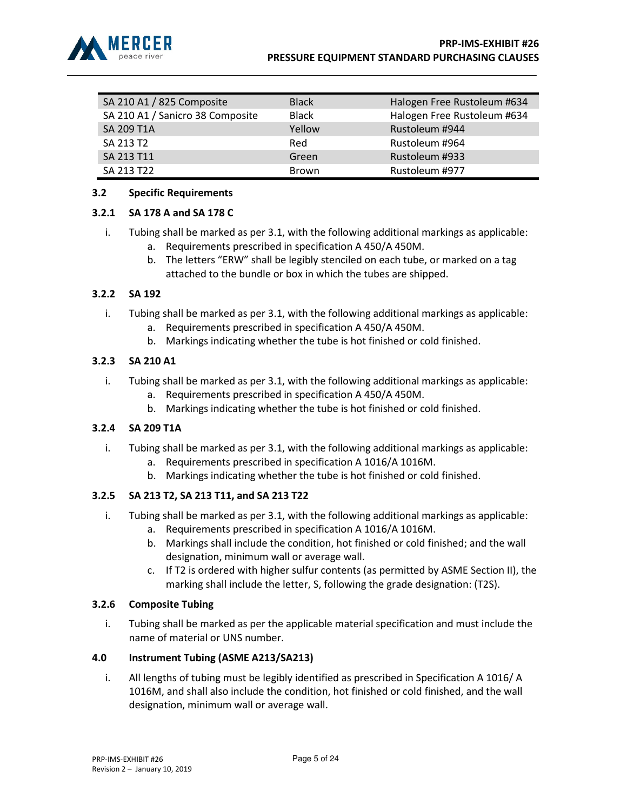

| SA 210 A1 / 825 Composite        | <b>Black</b> | Halogen Free Rustoleum #634 |
|----------------------------------|--------------|-----------------------------|
| SA 210 A1 / Sanicro 38 Composite | <b>Black</b> | Halogen Free Rustoleum #634 |
| <b>SA 209 T1A</b>                | Yellow       | Rustoleum #944              |
| SA 213 T2                        | Red          | Rustoleum #964              |
| SA 213 T11                       | Green        | Rustoleum #933              |
| SA 213 T22                       | Brown        | Rustoleum #977              |

## 3.2 Specific Requirements

#### 3.2.1 SA 178 A and SA 178 C

- i. Tubing shall be marked as per 3.1, with the following additional markings as applicable: a. Requirements prescribed in specification A 450/A 450M.
	- b. The letters "ERW" shall be legibly stenciled on each tube, or marked on a tag attached to the bundle or box in which the tubes are shipped.

## 3.2.2 SA 192

- i. Tubing shall be marked as per 3.1, with the following additional markings as applicable:
	- a. Requirements prescribed in specification A 450/A 450M.
	- b. Markings indicating whether the tube is hot finished or cold finished.

## 3.2.3 SA 210 A1

- i. Tubing shall be marked as per 3.1, with the following additional markings as applicable:
	- a. Requirements prescribed in specification A 450/A 450M.
	- b. Markings indicating whether the tube is hot finished or cold finished.

#### 3.2.4 SA 209 T1A

- i. Tubing shall be marked as per 3.1, with the following additional markings as applicable:
	- a. Requirements prescribed in specification A 1016/A 1016M.
	- b. Markings indicating whether the tube is hot finished or cold finished.

#### 3.2.5 SA 213 T2, SA 213 T11, and SA 213 T22

- i. Tubing shall be marked as per 3.1, with the following additional markings as applicable:
	- a. Requirements prescribed in specification A 1016/A 1016M.
	- b. Markings shall include the condition, hot finished or cold finished; and the wall designation, minimum wall or average wall.
	- c. If T2 is ordered with higher sulfur contents (as permitted by ASME Section II), the marking shall include the letter, S, following the grade designation: (T2S).

#### 3.2.6 Composite Tubing

i. Tubing shall be marked as per the applicable material specification and must include the name of material or UNS number.

#### 4.0 Instrument Tubing (ASME A213/SA213)

i. All lengths of tubing must be legibly identified as prescribed in Specification A 1016/ A 1016M, and shall also include the condition, hot finished or cold finished, and the wall designation, minimum wall or average wall.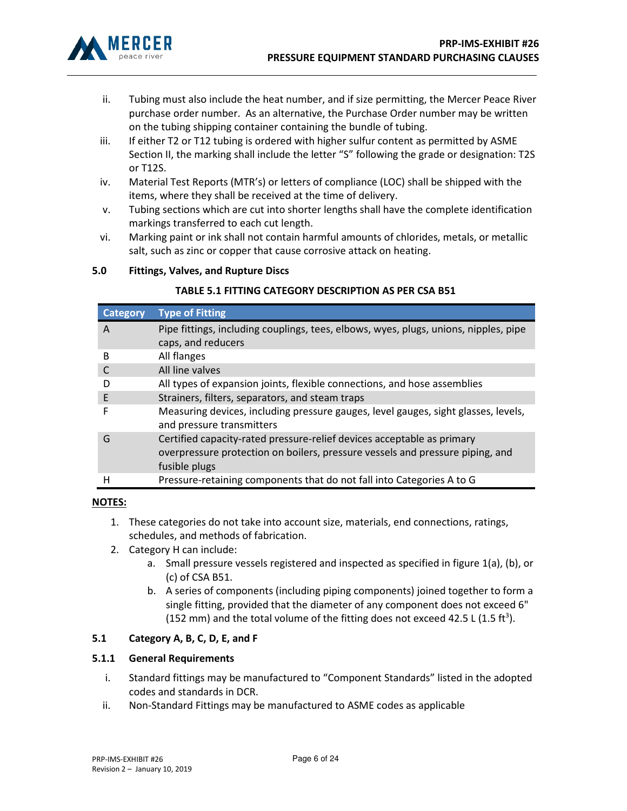

- ii. Tubing must also include the heat number, and if size permitting, the Mercer Peace River purchase order number. As an alternative, the Purchase Order number may be written on the tubing shipping container containing the bundle of tubing.
- iii. If either T2 or T12 tubing is ordered with higher sulfur content as permitted by ASME Section II, the marking shall include the letter "S" following the grade or designation: T2S or T12S.
- iv. Material Test Reports (MTR's) or letters of compliance (LOC) shall be shipped with the items, where they shall be received at the time of delivery.
- v. Tubing sections which are cut into shorter lengths shall have the complete identification markings transferred to each cut length.
- vi. Marking paint or ink shall not contain harmful amounts of chlorides, metals, or metallic salt, such as zinc or copper that cause corrosive attack on heating.

## 5.0 Fittings, Valves, and Rupture Discs

## TABLE 5.1 FITTING CATEGORY DESCRIPTION AS PER CSA B51

| <b>Category</b> | <b>Type of Fitting</b>                                                                                                                                                   |
|-----------------|--------------------------------------------------------------------------------------------------------------------------------------------------------------------------|
| A               | Pipe fittings, including couplings, tees, elbows, wyes, plugs, unions, nipples, pipe<br>caps, and reducers                                                               |
| B               | All flanges                                                                                                                                                              |
|                 | All line valves                                                                                                                                                          |
|                 | All types of expansion joints, flexible connections, and hose assemblies                                                                                                 |
| F               | Strainers, filters, separators, and steam traps                                                                                                                          |
| F               | Measuring devices, including pressure gauges, level gauges, sight glasses, levels,<br>and pressure transmitters                                                          |
| G               | Certified capacity-rated pressure-relief devices acceptable as primary<br>overpressure protection on boilers, pressure vessels and pressure piping, and<br>fusible plugs |
| н               | Pressure-retaining components that do not fall into Categories A to G                                                                                                    |
|                 |                                                                                                                                                                          |

#### NOTES:

- 1. These categories do not take into account size, materials, end connections, ratings, schedules, and methods of fabrication.
- 2. Category H can include:
	- a. Small pressure vessels registered and inspected as specified in figure 1(a), (b), or (c) of CSA B51.
	- b. A series of components (including piping components) joined together to form a single fitting, provided that the diameter of any component does not exceed 6" (152 mm) and the total volume of the fitting does not exceed 42.5 L (1.5 ft<sup>3</sup>).

## 5.1 Category A, B, C, D, E, and F

#### 5.1.1 General Requirements

- i. Standard fittings may be manufactured to "Component Standards" listed in the adopted codes and standards in DCR.
- ii. Non-Standard Fittings may be manufactured to ASME codes as applicable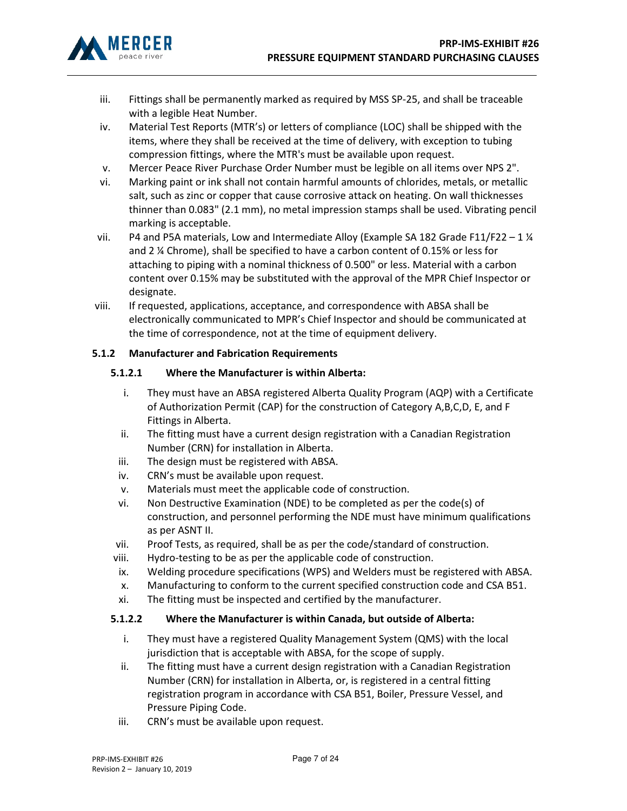

- iii. Fittings shall be permanently marked as required by MSS SP-25, and shall be traceable with a legible Heat Number.
- iv. Material Test Reports (MTR's) or letters of compliance (LOC) shall be shipped with the items, where they shall be received at the time of delivery, with exception to tubing compression fittings, where the MTR's must be available upon request.
- v. Mercer Peace River Purchase Order Number must be legible on all items over NPS 2".
- vi. Marking paint or ink shall not contain harmful amounts of chlorides, metals, or metallic salt, such as zinc or copper that cause corrosive attack on heating. On wall thicknesses thinner than 0.083" (2.1 mm), no metal impression stamps shall be used. Vibrating pencil marking is acceptable.
- vii. P4 and P5A materials, Low and Intermediate Alloy (Example SA 182 Grade F11/F22 1  $\frac{1}{4}$ and 2 ¼ Chrome), shall be specified to have a carbon content of 0.15% or less for attaching to piping with a nominal thickness of 0.500" or less. Material with a carbon content over 0.15% may be substituted with the approval of the MPR Chief Inspector or designate.
- viii. If requested, applications, acceptance, and correspondence with ABSA shall be electronically communicated to MPR's Chief Inspector and should be communicated at the time of correspondence, not at the time of equipment delivery.

## 5.1.2 Manufacturer and Fabrication Requirements

## 5.1.2.1 Where the Manufacturer is within Alberta:

- i. They must have an ABSA registered Alberta Quality Program (AQP) with a Certificate of Authorization Permit (CAP) for the construction of Category A,B,C,D, E, and F Fittings in Alberta.
- ii. The fitting must have a current design registration with a Canadian Registration Number (CRN) for installation in Alberta.
- iii. The design must be registered with ABSA.
- iv. CRN's must be available upon request.
- v. Materials must meet the applicable code of construction.
- vi. Non Destructive Examination (NDE) to be completed as per the code(s) of construction, and personnel performing the NDE must have minimum qualifications as per ASNT II.
- vii. Proof Tests, as required, shall be as per the code/standard of construction.
- viii. Hydro-testing to be as per the applicable code of construction.
- ix. Welding procedure specifications (WPS) and Welders must be registered with ABSA.
- x. Manufacturing to conform to the current specified construction code and CSA B51.
- xi. The fitting must be inspected and certified by the manufacturer.

## 5.1.2.2 Where the Manufacturer is within Canada, but outside of Alberta:

- i. They must have a registered Quality Management System (QMS) with the local jurisdiction that is acceptable with ABSA, for the scope of supply.
- ii. The fitting must have a current design registration with a Canadian Registration Number (CRN) for installation in Alberta, or, is registered in a central fitting registration program in accordance with CSA B51, Boiler, Pressure Vessel, and Pressure Piping Code.
- iii. CRN's must be available upon request.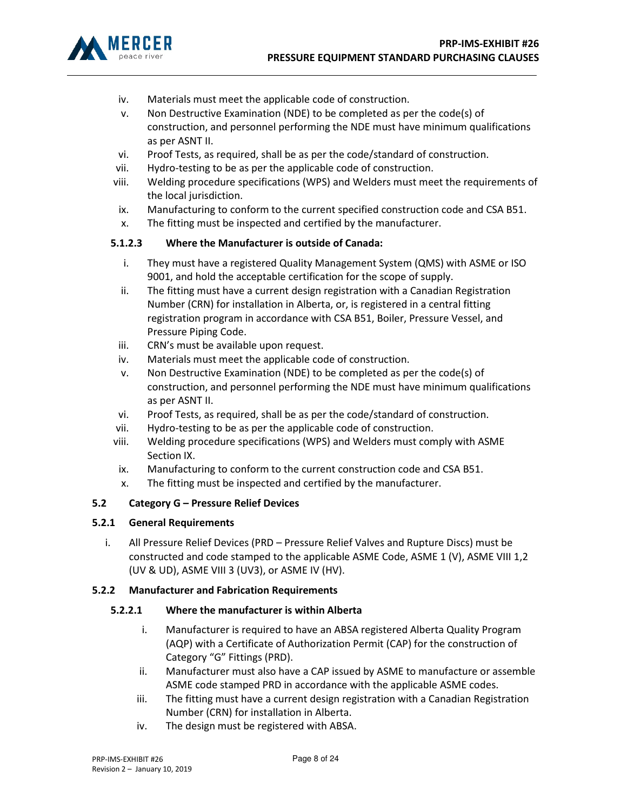

- iv. Materials must meet the applicable code of construction.
- v. Non Destructive Examination (NDE) to be completed as per the code(s) of construction, and personnel performing the NDE must have minimum qualifications as per ASNT II.
- vi. Proof Tests, as required, shall be as per the code/standard of construction.
- vii. Hydro-testing to be as per the applicable code of construction.
- viii. Welding procedure specifications (WPS) and Welders must meet the requirements of the local jurisdiction.
- ix. Manufacturing to conform to the current specified construction code and CSA B51.
- x. The fitting must be inspected and certified by the manufacturer.

## 5.1.2.3 Where the Manufacturer is outside of Canada:

- i. They must have a registered Quality Management System (QMS) with ASME or ISO 9001, and hold the acceptable certification for the scope of supply.
- ii. The fitting must have a current design registration with a Canadian Registration Number (CRN) for installation in Alberta, or, is registered in a central fitting registration program in accordance with CSA B51, Boiler, Pressure Vessel, and Pressure Piping Code.
- iii. CRN's must be available upon request.
- iv. Materials must meet the applicable code of construction.
- v. Non Destructive Examination (NDE) to be completed as per the code(s) of construction, and personnel performing the NDE must have minimum qualifications as per ASNT II.
- vi. Proof Tests, as required, shall be as per the code/standard of construction.
- vii. Hydro-testing to be as per the applicable code of construction.
- viii. Welding procedure specifications (WPS) and Welders must comply with ASME Section IX.
- ix. Manufacturing to conform to the current construction code and CSA B51.
- x. The fitting must be inspected and certified by the manufacturer.

## 5.2 Category G – Pressure Relief Devices

## 5.2.1 General Requirements

i. All Pressure Relief Devices (PRD – Pressure Relief Valves and Rupture Discs) must be constructed and code stamped to the applicable ASME Code, ASME 1 (V), ASME VIII 1,2 (UV & UD), ASME VIII 3 (UV3), or ASME IV (HV).

## 5.2.2 Manufacturer and Fabrication Requirements

# 5.2.2.1 Where the manufacturer is within Alberta

- i. Manufacturer is required to have an ABSA registered Alberta Quality Program (AQP) with a Certificate of Authorization Permit (CAP) for the construction of Category "G" Fittings (PRD).
- ii. Manufacturer must also have a CAP issued by ASME to manufacture or assemble ASME code stamped PRD in accordance with the applicable ASME codes.
- iii. The fitting must have a current design registration with a Canadian Registration Number (CRN) for installation in Alberta.
- iv. The design must be registered with ABSA.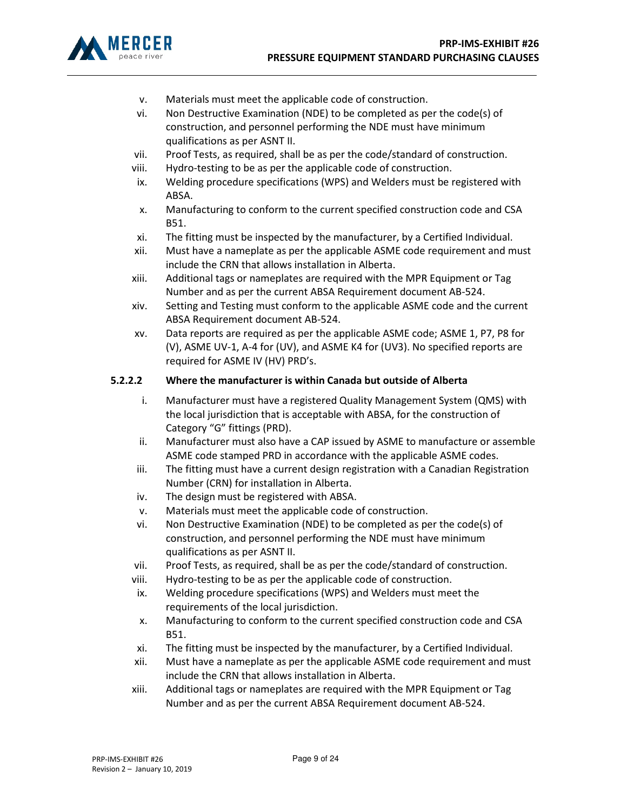

- v. Materials must meet the applicable code of construction.
- vi. Non Destructive Examination (NDE) to be completed as per the code(s) of construction, and personnel performing the NDE must have minimum qualifications as per ASNT II.
- vii. Proof Tests, as required, shall be as per the code/standard of construction.
- viii. Hydro-testing to be as per the applicable code of construction.
- ix. Welding procedure specifications (WPS) and Welders must be registered with ABSA.
- x. Manufacturing to conform to the current specified construction code and CSA B51.
- xi. The fitting must be inspected by the manufacturer, by a Certified Individual.
- xii. Must have a nameplate as per the applicable ASME code requirement and must include the CRN that allows installation in Alberta.
- xiii. Additional tags or nameplates are required with the MPR Equipment or Tag Number and as per the current ABSA Requirement document AB-524.
- xiv. Setting and Testing must conform to the applicable ASME code and the current ABSA Requirement document AB-524.
- xv. Data reports are required as per the applicable ASME code; ASME 1, P7, P8 for (V), ASME UV-1, A-4 for (UV), and ASME K4 for (UV3). No specified reports are required for ASME IV (HV) PRD's.

## 5.2.2.2 Where the manufacturer is within Canada but outside of Alberta

- i. Manufacturer must have a registered Quality Management System (QMS) with the local jurisdiction that is acceptable with ABSA, for the construction of Category "G" fittings (PRD).
- ii. Manufacturer must also have a CAP issued by ASME to manufacture or assemble ASME code stamped PRD in accordance with the applicable ASME codes.
- iii. The fitting must have a current design registration with a Canadian Registration Number (CRN) for installation in Alberta.
- iv. The design must be registered with ABSA.
- v. Materials must meet the applicable code of construction.
- vi. Non Destructive Examination (NDE) to be completed as per the code(s) of construction, and personnel performing the NDE must have minimum qualifications as per ASNT II.
- vii. Proof Tests, as required, shall be as per the code/standard of construction.
- viii. Hydro-testing to be as per the applicable code of construction.
- ix. Welding procedure specifications (WPS) and Welders must meet the requirements of the local jurisdiction.
- x. Manufacturing to conform to the current specified construction code and CSA B51.
- xi. The fitting must be inspected by the manufacturer, by a Certified Individual.
- xii. Must have a nameplate as per the applicable ASME code requirement and must include the CRN that allows installation in Alberta.
- xiii. Additional tags or nameplates are required with the MPR Equipment or Tag Number and as per the current ABSA Requirement document AB-524.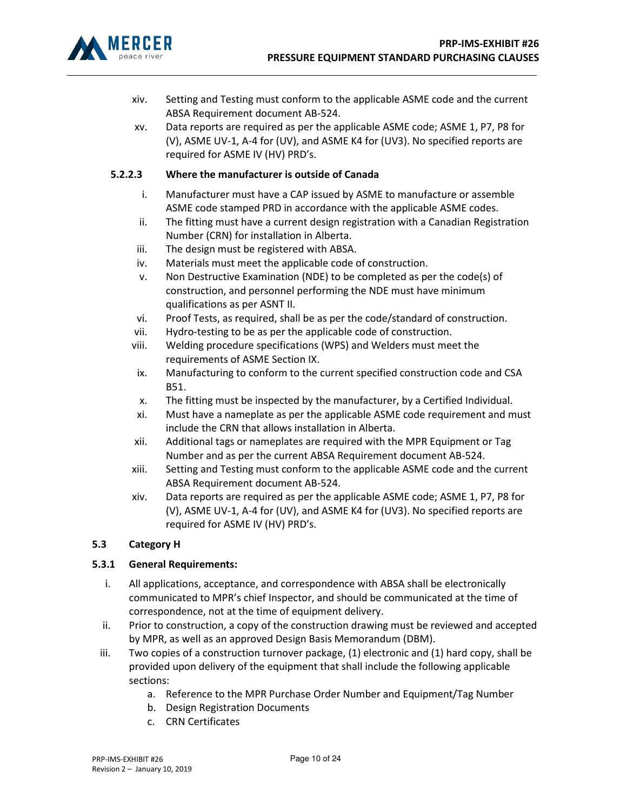

- xiv. Setting and Testing must conform to the applicable ASME code and the current ABSA Requirement document AB-524.
- xv. Data reports are required as per the applicable ASME code; ASME 1, P7, P8 for (V), ASME UV-1, A-4 for (UV), and ASME K4 for (UV3). No specified reports are required for ASME IV (HV) PRD's.

## 5.2.2.3 Where the manufacturer is outside of Canada

- i. Manufacturer must have a CAP issued by ASME to manufacture or assemble ASME code stamped PRD in accordance with the applicable ASME codes.
- ii. The fitting must have a current design registration with a Canadian Registration Number (CRN) for installation in Alberta.
- iii. The design must be registered with ABSA.
- iv. Materials must meet the applicable code of construction.
- v. Non Destructive Examination (NDE) to be completed as per the code(s) of construction, and personnel performing the NDE must have minimum qualifications as per ASNT II.
- vi. Proof Tests, as required, shall be as per the code/standard of construction.
- vii. Hydro-testing to be as per the applicable code of construction.
- viii. Welding procedure specifications (WPS) and Welders must meet the requirements of ASME Section IX.
- ix. Manufacturing to conform to the current specified construction code and CSA B51.
- x. The fitting must be inspected by the manufacturer, by a Certified Individual.
- xi. Must have a nameplate as per the applicable ASME code requirement and must include the CRN that allows installation in Alberta.
- xii. Additional tags or nameplates are required with the MPR Equipment or Tag Number and as per the current ABSA Requirement document AB-524.
- xiii. Setting and Testing must conform to the applicable ASME code and the current ABSA Requirement document AB-524.
- xiv. Data reports are required as per the applicable ASME code; ASME 1, P7, P8 for (V), ASME UV-1, A-4 for (UV), and ASME K4 for (UV3). No specified reports are required for ASME IV (HV) PRD's.

#### 5.3 Category H

#### 5.3.1 General Requirements:

- i. All applications, acceptance, and correspondence with ABSA shall be electronically communicated to MPR's chief Inspector, and should be communicated at the time of correspondence, not at the time of equipment delivery.
- ii. Prior to construction, a copy of the construction drawing must be reviewed and accepted by MPR, as well as an approved Design Basis Memorandum (DBM).
- iii. Two copies of a construction turnover package, (1) electronic and (1) hard copy, shall be provided upon delivery of the equipment that shall include the following applicable sections:
	- a. Reference to the MPR Purchase Order Number and Equipment/Tag Number
	- b. Design Registration Documents
	- c. CRN Certificates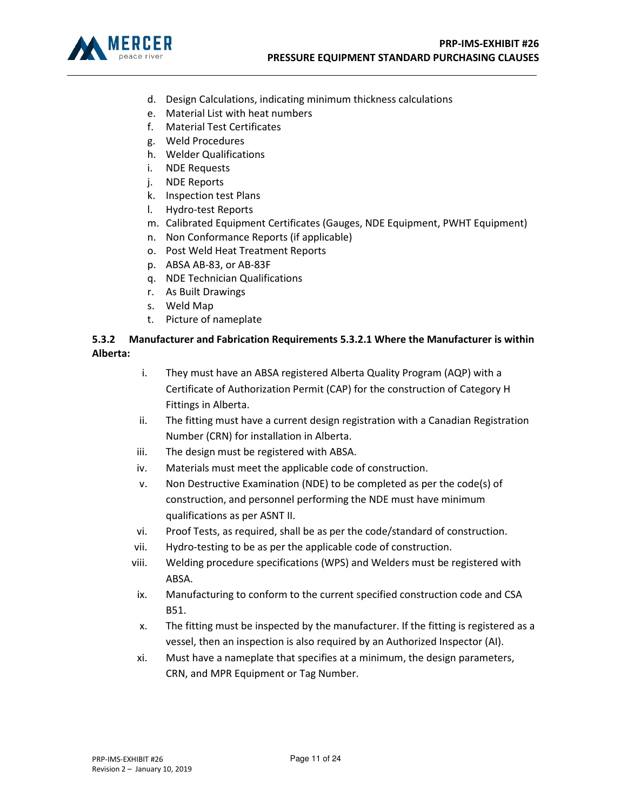

- d. Design Calculations, indicating minimum thickness calculations
- e. Material List with heat numbers
- f. Material Test Certificates
- g. Weld Procedures
- h. Welder Qualifications
- i. NDE Requests
- j. NDE Reports
- k. Inspection test Plans
- l. Hydro-test Reports
- m. Calibrated Equipment Certificates (Gauges, NDE Equipment, PWHT Equipment)
- n. Non Conformance Reports (if applicable)
- o. Post Weld Heat Treatment Reports
- p. ABSA AB-83, or AB-83F
- q. NDE Technician Qualifications
- r. As Built Drawings
- s. Weld Map
- t. Picture of nameplate

# 5.3.2 Manufacturer and Fabrication Requirements 5.3.2.1 Where the Manufacturer is within Alberta:

- i. They must have an ABSA registered Alberta Quality Program (AQP) with a Certificate of Authorization Permit (CAP) for the construction of Category H Fittings in Alberta.
- ii. The fitting must have a current design registration with a Canadian Registration Number (CRN) for installation in Alberta.
- iii. The design must be registered with ABSA.
- iv. Materials must meet the applicable code of construction.
- v. Non Destructive Examination (NDE) to be completed as per the code(s) of construction, and personnel performing the NDE must have minimum qualifications as per ASNT II.
- vi. Proof Tests, as required, shall be as per the code/standard of construction.
- vii. Hydro-testing to be as per the applicable code of construction.
- viii. Welding procedure specifications (WPS) and Welders must be registered with ABSA.
- ix. Manufacturing to conform to the current specified construction code and CSA B51.
- x. The fitting must be inspected by the manufacturer. If the fitting is registered as a vessel, then an inspection is also required by an Authorized Inspector (AI).
- xi. Must have a nameplate that specifies at a minimum, the design parameters, CRN, and MPR Equipment or Tag Number.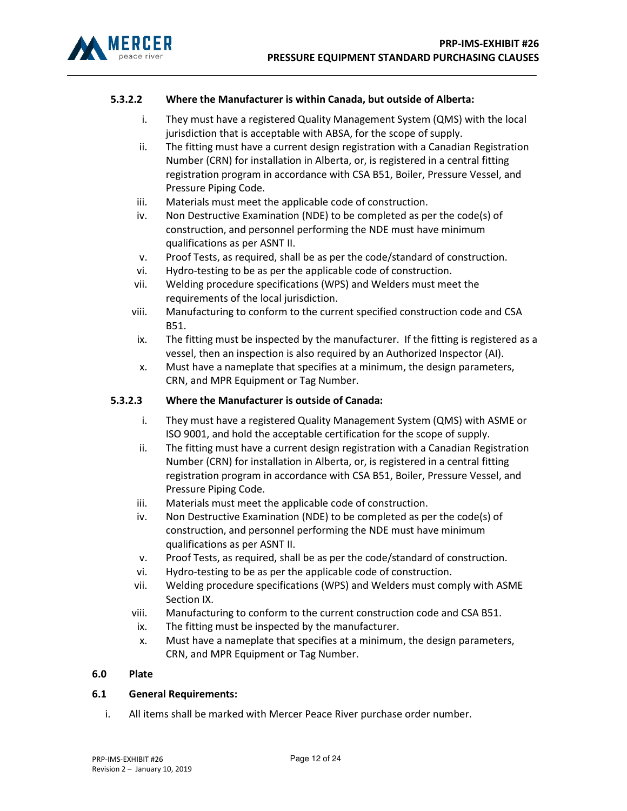

## 5.3.2.2 Where the Manufacturer is within Canada, but outside of Alberta:

- i. They must have a registered Quality Management System (QMS) with the local jurisdiction that is acceptable with ABSA, for the scope of supply.
- ii. The fitting must have a current design registration with a Canadian Registration Number (CRN) for installation in Alberta, or, is registered in a central fitting registration program in accordance with CSA B51, Boiler, Pressure Vessel, and Pressure Piping Code.
- iii. Materials must meet the applicable code of construction.
- iv. Non Destructive Examination (NDE) to be completed as per the code(s) of construction, and personnel performing the NDE must have minimum qualifications as per ASNT II.
- v. Proof Tests, as required, shall be as per the code/standard of construction.
- vi. Hydro-testing to be as per the applicable code of construction.
- vii. Welding procedure specifications (WPS) and Welders must meet the requirements of the local jurisdiction.
- viii. Manufacturing to conform to the current specified construction code and CSA B51.
- ix. The fitting must be inspected by the manufacturer. If the fitting is registered as a vessel, then an inspection is also required by an Authorized Inspector (AI).
- x. Must have a nameplate that specifies at a minimum, the design parameters, CRN, and MPR Equipment or Tag Number.

#### 5.3.2.3 Where the Manufacturer is outside of Canada:

- i. They must have a registered Quality Management System (QMS) with ASME or ISO 9001, and hold the acceptable certification for the scope of supply.
- ii. The fitting must have a current design registration with a Canadian Registration Number (CRN) for installation in Alberta, or, is registered in a central fitting registration program in accordance with CSA B51, Boiler, Pressure Vessel, and Pressure Piping Code.
- iii. Materials must meet the applicable code of construction.
- iv. Non Destructive Examination (NDE) to be completed as per the code(s) of construction, and personnel performing the NDE must have minimum qualifications as per ASNT II.
- v. Proof Tests, as required, shall be as per the code/standard of construction.
- vi. Hydro-testing to be as per the applicable code of construction.
- vii. Welding procedure specifications (WPS) and Welders must comply with ASME Section IX.
- viii. Manufacturing to conform to the current construction code and CSA B51.
- ix. The fitting must be inspected by the manufacturer.
- x. Must have a nameplate that specifies at a minimum, the design parameters, CRN, and MPR Equipment or Tag Number.

#### 6.0 Plate

#### 6.1 General Requirements:

i. All items shall be marked with Mercer Peace River purchase order number.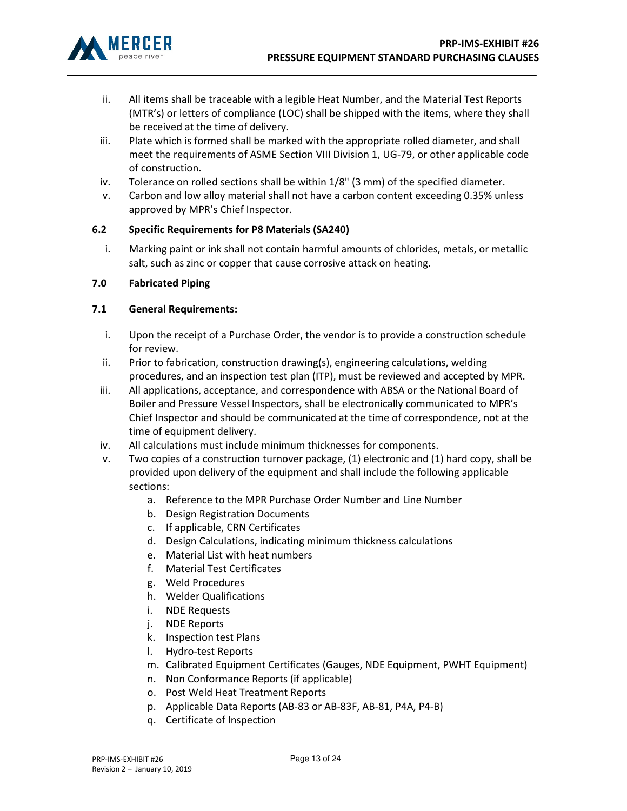

- ii. All items shall be traceable with a legible Heat Number, and the Material Test Reports (MTR's) or letters of compliance (LOC) shall be shipped with the items, where they shall be received at the time of delivery.
- iii. Plate which is formed shall be marked with the appropriate rolled diameter, and shall meet the requirements of ASME Section VIII Division 1, UG-79, or other applicable code of construction.
- iv. Tolerance on rolled sections shall be within 1/8" (3 mm) of the specified diameter.
- v. Carbon and low alloy material shall not have a carbon content exceeding 0.35% unless approved by MPR's Chief Inspector.

## 6.2 Specific Requirements for P8 Materials (SA240)

i. Marking paint or ink shall not contain harmful amounts of chlorides, metals, or metallic salt, such as zinc or copper that cause corrosive attack on heating.

## 7.0 Fabricated Piping

## 7.1 General Requirements:

- i. Upon the receipt of a Purchase Order, the vendor is to provide a construction schedule for review.
- ii. Prior to fabrication, construction drawing(s), engineering calculations, welding procedures, and an inspection test plan (ITP), must be reviewed and accepted by MPR.
- iii. All applications, acceptance, and correspondence with ABSA or the National Board of Boiler and Pressure Vessel Inspectors, shall be electronically communicated to MPR's Chief Inspector and should be communicated at the time of correspondence, not at the time of equipment delivery.
- iv. All calculations must include minimum thicknesses for components.
- v. Two copies of a construction turnover package, (1) electronic and (1) hard copy, shall be provided upon delivery of the equipment and shall include the following applicable sections:
	- a. Reference to the MPR Purchase Order Number and Line Number
	- b. Design Registration Documents
	- c. If applicable, CRN Certificates
	- d. Design Calculations, indicating minimum thickness calculations
	- e. Material List with heat numbers
	- f. Material Test Certificates
	- g. Weld Procedures
	- h. Welder Qualifications
	- i. NDE Requests
	- j. NDE Reports
	- k. Inspection test Plans
	- l. Hydro-test Reports
	- m. Calibrated Equipment Certificates (Gauges, NDE Equipment, PWHT Equipment)
	- n. Non Conformance Reports (if applicable)
	- o. Post Weld Heat Treatment Reports
	- p. Applicable Data Reports (AB-83 or AB-83F, AB-81, P4A, P4-B)
	- q. Certificate of Inspection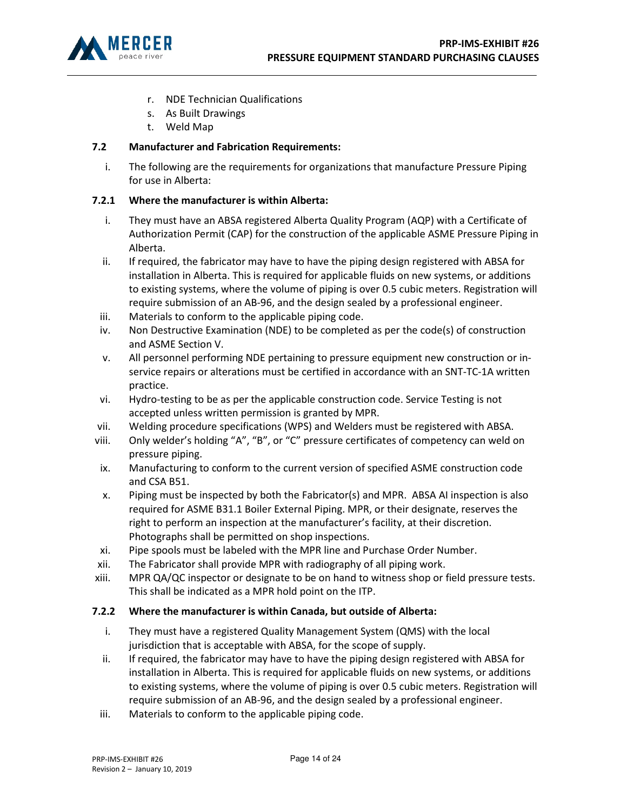

- r. NDE Technician Qualifications
- s. As Built Drawings
- t. Weld Map

# 7.2 Manufacturer and Fabrication Requirements:

i. The following are the requirements for organizations that manufacture Pressure Piping for use in Alberta:

# 7.2.1 Where the manufacturer is within Alberta:

- i. They must have an ABSA registered Alberta Quality Program (AQP) with a Certificate of Authorization Permit (CAP) for the construction of the applicable ASME Pressure Piping in Alberta.
- ii. If required, the fabricator may have to have the piping design registered with ABSA for installation in Alberta. This is required for applicable fluids on new systems, or additions to existing systems, where the volume of piping is over 0.5 cubic meters. Registration will require submission of an AB-96, and the design sealed by a professional engineer.
- iii. Materials to conform to the applicable piping code.
- iv. Non Destructive Examination (NDE) to be completed as per the code(s) of construction and ASME Section V.
- v. All personnel performing NDE pertaining to pressure equipment new construction or inservice repairs or alterations must be certified in accordance with an SNT-TC-1A written practice.
- vi. Hydro-testing to be as per the applicable construction code. Service Testing is not accepted unless written permission is granted by MPR.
- vii. Welding procedure specifications (WPS) and Welders must be registered with ABSA.
- viii. Only welder's holding "A", "B", or "C" pressure certificates of competency can weld on pressure piping.
- ix. Manufacturing to conform to the current version of specified ASME construction code and CSA B51.
- x. Piping must be inspected by both the Fabricator(s) and MPR. ABSA AI inspection is also required for ASME B31.1 Boiler External Piping. MPR, or their designate, reserves the right to perform an inspection at the manufacturer's facility, at their discretion. Photographs shall be permitted on shop inspections.
- xi. Pipe spools must be labeled with the MPR line and Purchase Order Number.
- xii. The Fabricator shall provide MPR with radiography of all piping work.
- xiii. MPR QA/QC inspector or designate to be on hand to witness shop or field pressure tests. This shall be indicated as a MPR hold point on the ITP.

## 7.2.2 Where the manufacturer is within Canada, but outside of Alberta:

- i. They must have a registered Quality Management System (QMS) with the local jurisdiction that is acceptable with ABSA, for the scope of supply.
- ii. If required, the fabricator may have to have the piping design registered with ABSA for installation in Alberta. This is required for applicable fluids on new systems, or additions to existing systems, where the volume of piping is over 0.5 cubic meters. Registration will require submission of an AB-96, and the design sealed by a professional engineer.
- iii. Materials to conform to the applicable piping code.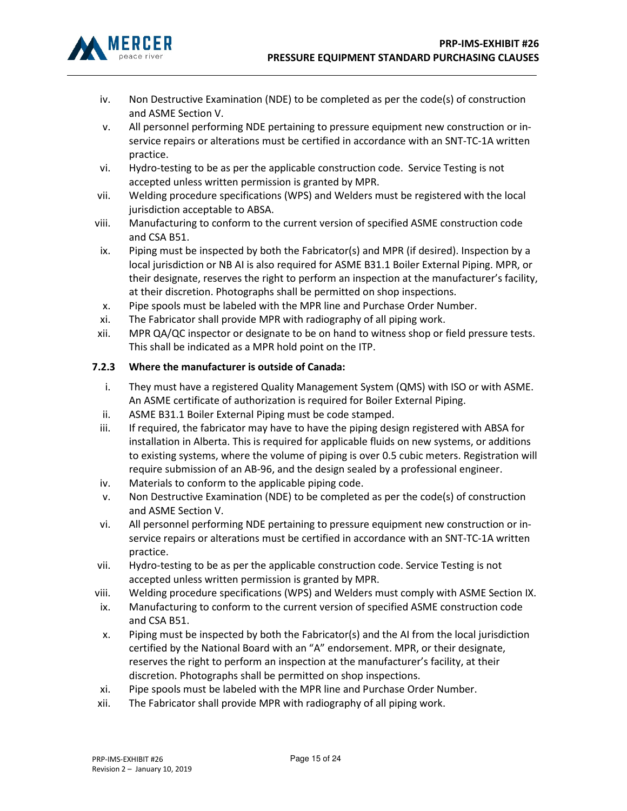

- iv. Non Destructive Examination (NDE) to be completed as per the code(s) of construction and ASME Section V.
- v. All personnel performing NDE pertaining to pressure equipment new construction or inservice repairs or alterations must be certified in accordance with an SNT-TC-1A written practice.
- vi. Hydro-testing to be as per the applicable construction code. Service Testing is not accepted unless written permission is granted by MPR.
- vii. Welding procedure specifications (WPS) and Welders must be registered with the local jurisdiction acceptable to ABSA.
- viii. Manufacturing to conform to the current version of specified ASME construction code and CSA B51.
- ix. Piping must be inspected by both the Fabricator(s) and MPR (if desired). Inspection by a local jurisdiction or NB AI is also required for ASME B31.1 Boiler External Piping. MPR, or their designate, reserves the right to perform an inspection at the manufacturer's facility, at their discretion. Photographs shall be permitted on shop inspections.
- x. Pipe spools must be labeled with the MPR line and Purchase Order Number.
- xi. The Fabricator shall provide MPR with radiography of all piping work.
- xii. MPR QA/QC inspector or designate to be on hand to witness shop or field pressure tests. This shall be indicated as a MPR hold point on the ITP.

# 7.2.3 Where the manufacturer is outside of Canada:

- i. They must have a registered Quality Management System (QMS) with ISO or with ASME. An ASME certificate of authorization is required for Boiler External Piping.
- ii. ASME B31.1 Boiler External Piping must be code stamped.
- iii. If required, the fabricator may have to have the piping design registered with ABSA for installation in Alberta. This is required for applicable fluids on new systems, or additions to existing systems, where the volume of piping is over 0.5 cubic meters. Registration will require submission of an AB-96, and the design sealed by a professional engineer.
- iv. Materials to conform to the applicable piping code.
- v. Non Destructive Examination (NDE) to be completed as per the code(s) of construction and ASME Section V.
- vi. All personnel performing NDE pertaining to pressure equipment new construction or inservice repairs or alterations must be certified in accordance with an SNT-TC-1A written practice.
- vii. Hydro-testing to be as per the applicable construction code. Service Testing is not accepted unless written permission is granted by MPR.
- viii. Welding procedure specifications (WPS) and Welders must comply with ASME Section IX.
- ix. Manufacturing to conform to the current version of specified ASME construction code and CSA B51.
- x. Piping must be inspected by both the Fabricator(s) and the AI from the local jurisdiction certified by the National Board with an "A" endorsement. MPR, or their designate, reserves the right to perform an inspection at the manufacturer's facility, at their discretion. Photographs shall be permitted on shop inspections.
- xi. Pipe spools must be labeled with the MPR line and Purchase Order Number.
- xii. The Fabricator shall provide MPR with radiography of all piping work.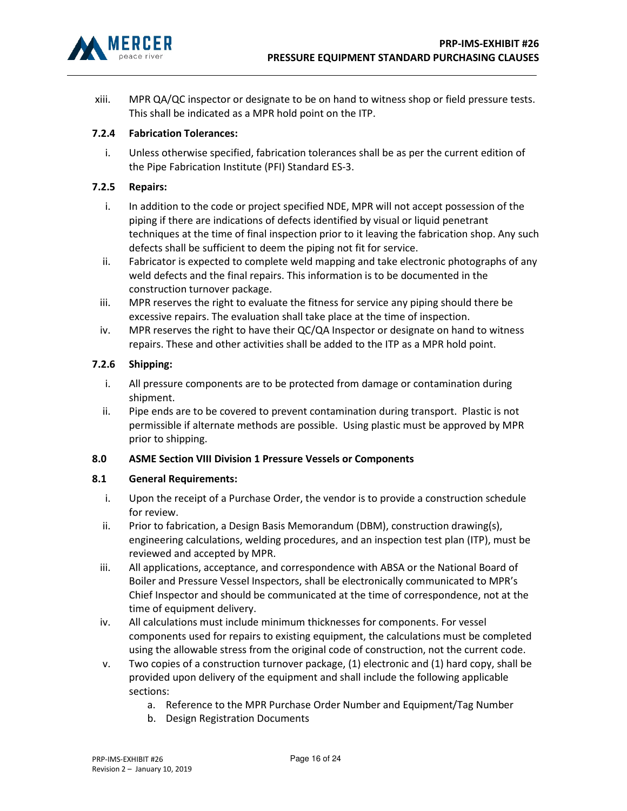

xiii. MPR QA/QC inspector or designate to be on hand to witness shop or field pressure tests. This shall be indicated as a MPR hold point on the ITP.

## 7.2.4 Fabrication Tolerances:

i. Unless otherwise specified, fabrication tolerances shall be as per the current edition of the Pipe Fabrication Institute (PFI) Standard ES-3.

#### 7.2.5 Repairs:

- i. In addition to the code or project specified NDE, MPR will not accept possession of the piping if there are indications of defects identified by visual or liquid penetrant techniques at the time of final inspection prior to it leaving the fabrication shop. Any such defects shall be sufficient to deem the piping not fit for service.
- ii. Fabricator is expected to complete weld mapping and take electronic photographs of any weld defects and the final repairs. This information is to be documented in the construction turnover package.
- iii. MPR reserves the right to evaluate the fitness for service any piping should there be excessive repairs. The evaluation shall take place at the time of inspection.
- iv. MPR reserves the right to have their QC/QA Inspector or designate on hand to witness repairs. These and other activities shall be added to the ITP as a MPR hold point.

## 7.2.6 Shipping:

- i. All pressure components are to be protected from damage or contamination during shipment.
- ii. Pipe ends are to be covered to prevent contamination during transport. Plastic is not permissible if alternate methods are possible. Using plastic must be approved by MPR prior to shipping.

#### 8.0 ASME Section VIII Division 1 Pressure Vessels or Components

#### 8.1 General Requirements:

- i. Upon the receipt of a Purchase Order, the vendor is to provide a construction schedule for review.
- ii. Prior to fabrication, a Design Basis Memorandum (DBM), construction drawing(s), engineering calculations, welding procedures, and an inspection test plan (ITP), must be reviewed and accepted by MPR.
- iii. All applications, acceptance, and correspondence with ABSA or the National Board of Boiler and Pressure Vessel Inspectors, shall be electronically communicated to MPR's Chief Inspector and should be communicated at the time of correspondence, not at the time of equipment delivery.
- iv. All calculations must include minimum thicknesses for components. For vessel components used for repairs to existing equipment, the calculations must be completed using the allowable stress from the original code of construction, not the current code.
- v. Two copies of a construction turnover package, (1) electronic and (1) hard copy, shall be provided upon delivery of the equipment and shall include the following applicable sections:
	- a. Reference to the MPR Purchase Order Number and Equipment/Tag Number
	- b. Design Registration Documents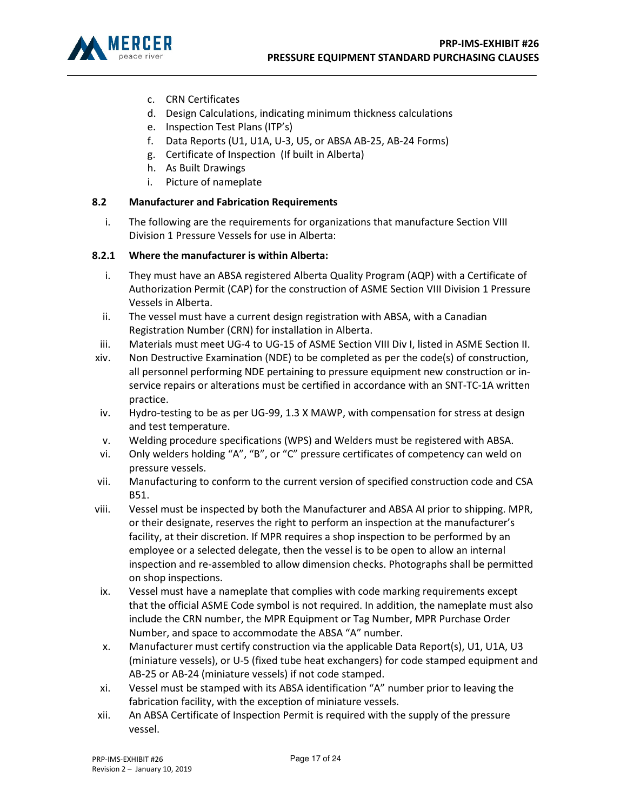

- c. CRN Certificates
- d. Design Calculations, indicating minimum thickness calculations
- e. Inspection Test Plans (ITP's)
- f. Data Reports (U1, U1A, U-3, U5, or ABSA AB-25, AB-24 Forms)
- g. Certificate of Inspection (If built in Alberta)
- h. As Built Drawings
- i. Picture of nameplate

# 8.2 Manufacturer and Fabrication Requirements

i. The following are the requirements for organizations that manufacture Section VIII Division 1 Pressure Vessels for use in Alberta:

# 8.2.1 Where the manufacturer is within Alberta:

- i. They must have an ABSA registered Alberta Quality Program (AQP) with a Certificate of Authorization Permit (CAP) for the construction of ASME Section VIII Division 1 Pressure Vessels in Alberta.
- ii. The vessel must have a current design registration with ABSA, with a Canadian Registration Number (CRN) for installation in Alberta.
- iii. Materials must meet UG-4 to UG-15 of ASME Section VIII Div I, listed in ASME Section II.
- xiv. Non Destructive Examination (NDE) to be completed as per the code(s) of construction, all personnel performing NDE pertaining to pressure equipment new construction or inservice repairs or alterations must be certified in accordance with an SNT-TC-1A written practice.
- iv. Hydro-testing to be as per UG-99, 1.3 X MAWP, with compensation for stress at design and test temperature.
- v. Welding procedure specifications (WPS) and Welders must be registered with ABSA.
- vi. Only welders holding "A", "B", or "C" pressure certificates of competency can weld on pressure vessels.
- vii. Manufacturing to conform to the current version of specified construction code and CSA B51.
- viii. Vessel must be inspected by both the Manufacturer and ABSA AI prior to shipping. MPR, or their designate, reserves the right to perform an inspection at the manufacturer's facility, at their discretion. If MPR requires a shop inspection to be performed by an employee or a selected delegate, then the vessel is to be open to allow an internal inspection and re-assembled to allow dimension checks. Photographs shall be permitted on shop inspections.
- ix. Vessel must have a nameplate that complies with code marking requirements except that the official ASME Code symbol is not required. In addition, the nameplate must also include the CRN number, the MPR Equipment or Tag Number, MPR Purchase Order Number, and space to accommodate the ABSA "A" number.
- x. Manufacturer must certify construction via the applicable Data Report(s), U1, U1A, U3 (miniature vessels), or U-5 (fixed tube heat exchangers) for code stamped equipment and AB-25 or AB-24 (miniature vessels) if not code stamped.
- xi. Vessel must be stamped with its ABSA identification "A" number prior to leaving the fabrication facility, with the exception of miniature vessels.
- xii. An ABSA Certificate of Inspection Permit is required with the supply of the pressure vessel.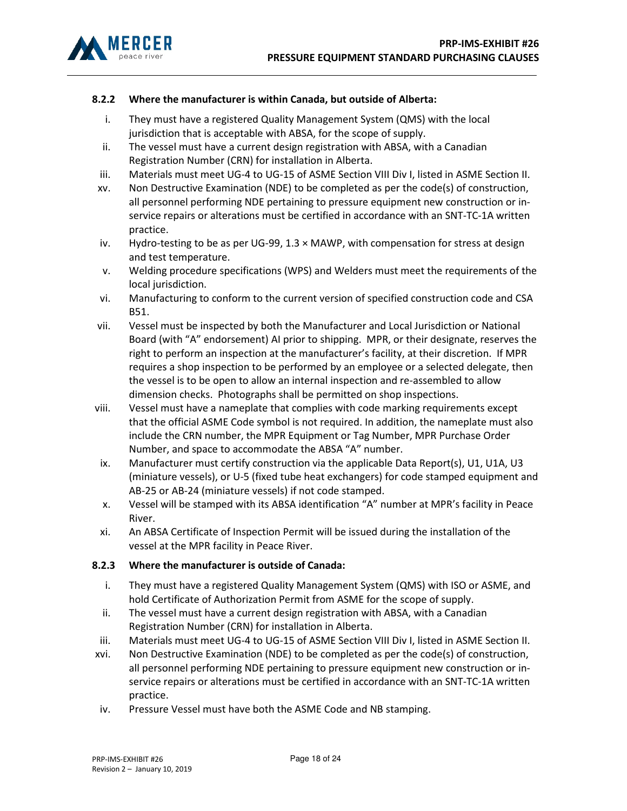

## 8.2.2 Where the manufacturer is within Canada, but outside of Alberta:

- i. They must have a registered Quality Management System (QMS) with the local jurisdiction that is acceptable with ABSA, for the scope of supply.
- ii. The vessel must have a current design registration with ABSA, with a Canadian Registration Number (CRN) for installation in Alberta.
- iii. Materials must meet UG-4 to UG-15 of ASME Section VIII Div I, listed in ASME Section II.
- xv. Non Destructive Examination (NDE) to be completed as per the code(s) of construction, all personnel performing NDE pertaining to pressure equipment new construction or inservice repairs or alterations must be certified in accordance with an SNT-TC-1A written practice.
- iv. Hydro-testing to be as per UG-99,  $1.3 \times$  MAWP, with compensation for stress at design and test temperature.
- v. Welding procedure specifications (WPS) and Welders must meet the requirements of the local jurisdiction.
- vi. Manufacturing to conform to the current version of specified construction code and CSA B51.
- vii. Vessel must be inspected by both the Manufacturer and Local Jurisdiction or National Board (with "A" endorsement) AI prior to shipping. MPR, or their designate, reserves the right to perform an inspection at the manufacturer's facility, at their discretion. If MPR requires a shop inspection to be performed by an employee or a selected delegate, then the vessel is to be open to allow an internal inspection and re-assembled to allow dimension checks. Photographs shall be permitted on shop inspections.
- viii. Vessel must have a nameplate that complies with code marking requirements except that the official ASME Code symbol is not required. In addition, the nameplate must also include the CRN number, the MPR Equipment or Tag Number, MPR Purchase Order Number, and space to accommodate the ABSA "A" number.
- ix. Manufacturer must certify construction via the applicable Data Report(s), U1, U1A, U3 (miniature vessels), or U-5 (fixed tube heat exchangers) for code stamped equipment and AB-25 or AB-24 (miniature vessels) if not code stamped.
- x. Vessel will be stamped with its ABSA identification "A" number at MPR's facility in Peace River.
- xi. An ABSA Certificate of Inspection Permit will be issued during the installation of the vessel at the MPR facility in Peace River.

## 8.2.3 Where the manufacturer is outside of Canada:

- i. They must have a registered Quality Management System (QMS) with ISO or ASME, and hold Certificate of Authorization Permit from ASME for the scope of supply.
- ii. The vessel must have a current design registration with ABSA, with a Canadian Registration Number (CRN) for installation in Alberta.
- iii. Materials must meet UG-4 to UG-15 of ASME Section VIII Div I, listed in ASME Section II.
- xvi. Non Destructive Examination (NDE) to be completed as per the code(s) of construction, all personnel performing NDE pertaining to pressure equipment new construction or inservice repairs or alterations must be certified in accordance with an SNT-TC-1A written practice.
- iv. Pressure Vessel must have both the ASME Code and NB stamping.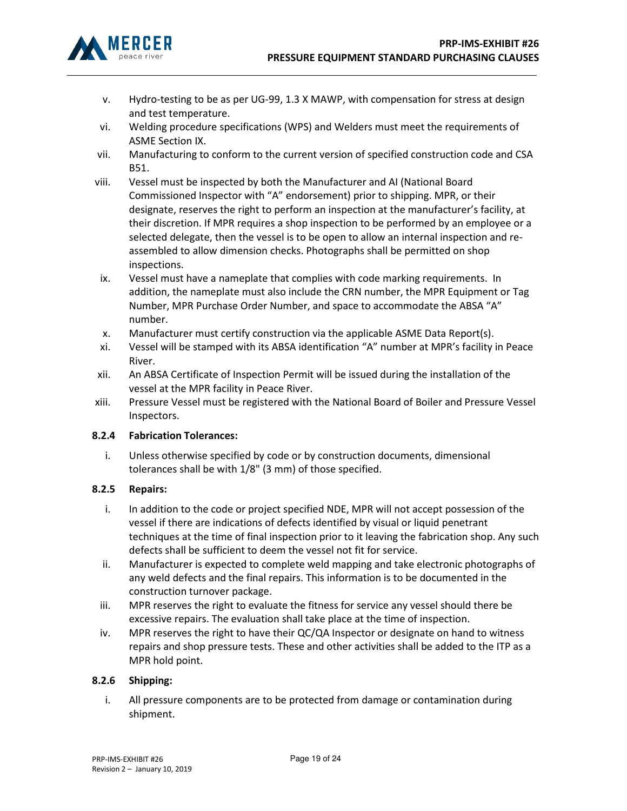

- v. Hydro-testing to be as per UG-99, 1.3 X MAWP, with compensation for stress at design and test temperature.
- vi. Welding procedure specifications (WPS) and Welders must meet the requirements of ASME Section IX.
- vii. Manufacturing to conform to the current version of specified construction code and CSA B51.
- viii. Vessel must be inspected by both the Manufacturer and AI (National Board Commissioned Inspector with "A" endorsement) prior to shipping. MPR, or their designate, reserves the right to perform an inspection at the manufacturer's facility, at their discretion. If MPR requires a shop inspection to be performed by an employee or a selected delegate, then the vessel is to be open to allow an internal inspection and reassembled to allow dimension checks. Photographs shall be permitted on shop inspections.
- ix. Vessel must have a nameplate that complies with code marking requirements. In addition, the nameplate must also include the CRN number, the MPR Equipment or Tag Number, MPR Purchase Order Number, and space to accommodate the ABSA "A" number.
- x. Manufacturer must certify construction via the applicable ASME Data Report(s).
- xi. Vessel will be stamped with its ABSA identification "A" number at MPR's facility in Peace River.
- xii. An ABSA Certificate of Inspection Permit will be issued during the installation of the vessel at the MPR facility in Peace River.
- xiii. Pressure Vessel must be registered with the National Board of Boiler and Pressure Vessel Inspectors.

## 8.2.4 Fabrication Tolerances:

i. Unless otherwise specified by code or by construction documents, dimensional tolerances shall be with 1/8" (3 mm) of those specified.

#### 8.2.5 Repairs:

- i. In addition to the code or project specified NDE, MPR will not accept possession of the vessel if there are indications of defects identified by visual or liquid penetrant techniques at the time of final inspection prior to it leaving the fabrication shop. Any such defects shall be sufficient to deem the vessel not fit for service.
- ii. Manufacturer is expected to complete weld mapping and take electronic photographs of any weld defects and the final repairs. This information is to be documented in the construction turnover package.
- iii. MPR reserves the right to evaluate the fitness for service any vessel should there be excessive repairs. The evaluation shall take place at the time of inspection.
- iv. MPR reserves the right to have their QC/QA Inspector or designate on hand to witness repairs and shop pressure tests. These and other activities shall be added to the ITP as a MPR hold point.

#### 8.2.6 Shipping:

i. All pressure components are to be protected from damage or contamination during shipment.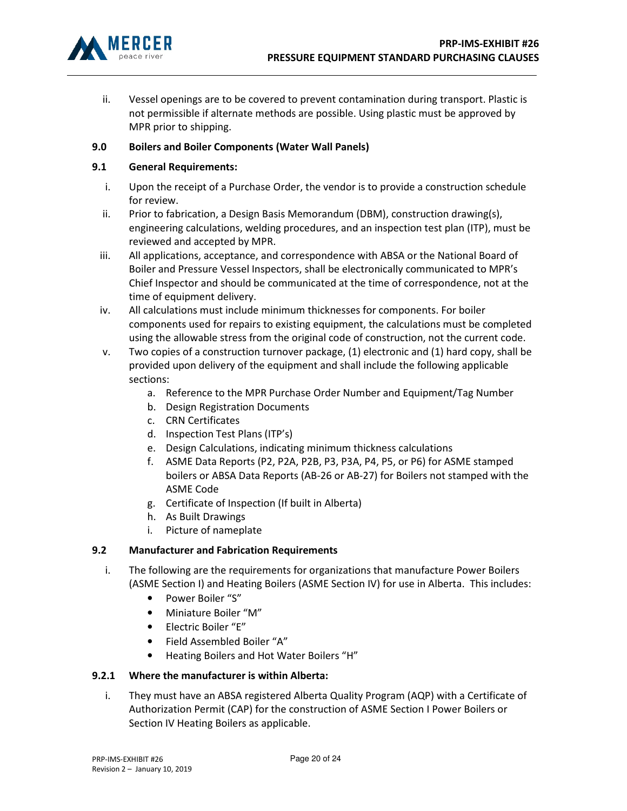

ii. Vessel openings are to be covered to prevent contamination during transport. Plastic is not permissible if alternate methods are possible. Using plastic must be approved by MPR prior to shipping.

## 9.0 Boilers and Boiler Components (Water Wall Panels)

## 9.1 General Requirements:

- i. Upon the receipt of a Purchase Order, the vendor is to provide a construction schedule for review.
- ii. Prior to fabrication, a Design Basis Memorandum (DBM), construction drawing(s), engineering calculations, welding procedures, and an inspection test plan (ITP), must be reviewed and accepted by MPR.
- iii. All applications, acceptance, and correspondence with ABSA or the National Board of Boiler and Pressure Vessel Inspectors, shall be electronically communicated to MPR's Chief Inspector and should be communicated at the time of correspondence, not at the time of equipment delivery.
- iv. All calculations must include minimum thicknesses for components. For boiler components used for repairs to existing equipment, the calculations must be completed using the allowable stress from the original code of construction, not the current code.
- v. Two copies of a construction turnover package, (1) electronic and (1) hard copy, shall be provided upon delivery of the equipment and shall include the following applicable sections:
	- a. Reference to the MPR Purchase Order Number and Equipment/Tag Number
	- b. Design Registration Documents
	- c. CRN Certificates
	- d. Inspection Test Plans (ITP's)
	- e. Design Calculations, indicating minimum thickness calculations
	- f. ASME Data Reports (P2, P2A, P2B, P3, P3A, P4, P5, or P6) for ASME stamped boilers or ABSA Data Reports (AB-26 or AB-27) for Boilers not stamped with the ASME Code
	- g. Certificate of Inspection (If built in Alberta)
	- h. As Built Drawings
	- i. Picture of nameplate

## 9.2 Manufacturer and Fabrication Requirements

- i. The following are the requirements for organizations that manufacture Power Boilers (ASME Section I) and Heating Boilers (ASME Section IV) for use in Alberta. This includes:
	- Power Boiler "S"
	- Miniature Boiler "M"
	- Electric Boiler "E"
	- Field Assembled Boiler "A"
	- Heating Boilers and Hot Water Boilers "H"

## 9.2.1 Where the manufacturer is within Alberta:

i. They must have an ABSA registered Alberta Quality Program (AQP) with a Certificate of Authorization Permit (CAP) for the construction of ASME Section I Power Boilers or Section IV Heating Boilers as applicable.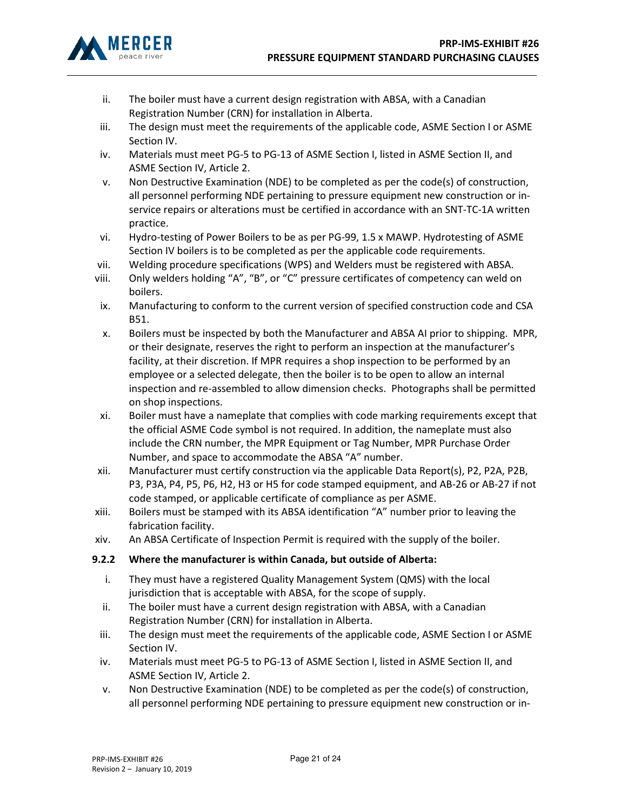

- ii. The boiler must have a current design registration with ABSA, with a Canadian Registration Number (CRN) for installation in Alberta.
- iii. The design must meet the requirements of the applicable code, ASME Section I or ASME Section IV.
- iv. Materials must meet PG-5 to PG-13 of ASME Section I, listed in ASME Section II, and ASME Section IV, Article 2.
- v. Non Destructive Examination (NDE) to be completed as per the code(s) of construction, all personnel performing NDE pertaining to pressure equipment new construction or inservice repairs or alterations must be certified in accordance with an SNT-TC-1A written practice.
- vi. Hydro-testing of Power Boilers to be as per PG-99, 1.5 x MAWP. Hydrotesting of ASME Section IV boilers is to be completed as per the applicable code requirements.
- vii. Welding procedure specifications (WPS) and Welders must be registered with ABSA.
- viii. Only welders holding "A", "B", or "C" pressure certificates of competency can weld on boilers.
- ix. Manufacturing to conform to the current version of specified construction code and CSA B51.
- x. Boilers must be inspected by both the Manufacturer and ABSA AI prior to shipping. MPR, or their designate, reserves the right to perform an inspection at the manufacturer's facility, at their discretion. If MPR requires a shop inspection to be performed by an employee or a selected delegate, then the boiler is to be open to allow an internal inspection and re-assembled to allow dimension checks. Photographs shall be permitted on shop inspections.
- xi. Boiler must have a nameplate that complies with code marking requirements except that the official ASME Code symbol is not required. In addition, the nameplate must also include the CRN number, the MPR Equipment or Tag Number, MPR Purchase Order Number, and space to accommodate the ABSA "A" number.
- xii. Manufacturer must certify construction via the applicable Data Report(s), P2, P2A, P2B, P3, P3A, P4, P5, P6, H2, H3 or H5 for code stamped equipment, and AB-26 or AB-27 if not code stamped, or applicable certificate of compliance as per ASME.
- xiii. Boilers must be stamped with its ABSA identification "A" number prior to leaving the fabrication facility.
- xiv. An ABSA Certificate of Inspection Permit is required with the supply of the boiler.

## 9.2.2 Where the manufacturer is within Canada, but outside of Alberta:

- i. They must have a registered Quality Management System (QMS) with the local jurisdiction that is acceptable with ABSA, for the scope of supply.
- ii. The boiler must have a current design registration with ABSA, with a Canadian Registration Number (CRN) for installation in Alberta.
- iii. The design must meet the requirements of the applicable code, ASME Section I or ASME Section IV.
- iv. Materials must meet PG-5 to PG-13 of ASME Section I, listed in ASME Section II, and ASME Section IV, Article 2.
- v. Non Destructive Examination (NDE) to be completed as per the code(s) of construction, all personnel performing NDE pertaining to pressure equipment new construction or in-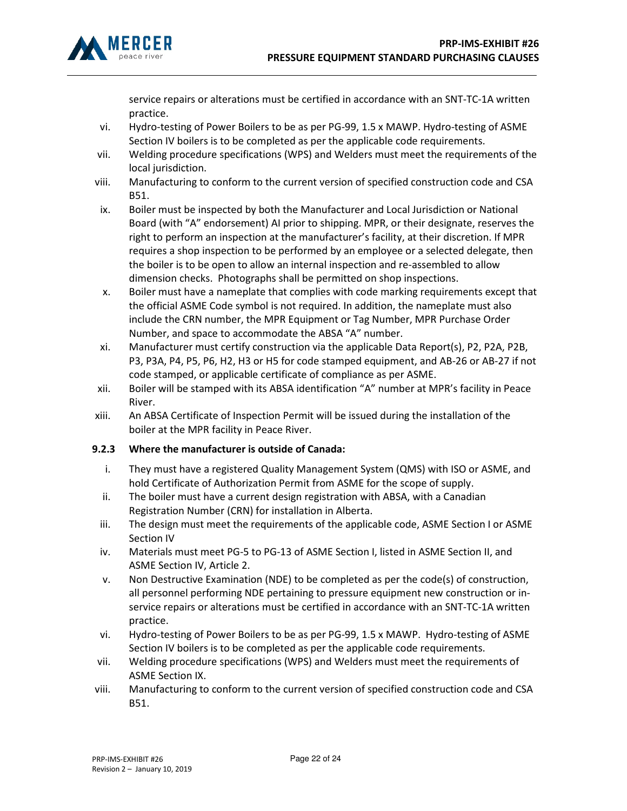

service repairs or alterations must be certified in accordance with an SNT-TC-1A written practice.

- vi. Hydro-testing of Power Boilers to be as per PG-99, 1.5 x MAWP. Hydro-testing of ASME Section IV boilers is to be completed as per the applicable code requirements.
- vii. Welding procedure specifications (WPS) and Welders must meet the requirements of the local jurisdiction.
- viii. Manufacturing to conform to the current version of specified construction code and CSA B51.
- ix. Boiler must be inspected by both the Manufacturer and Local Jurisdiction or National Board (with "A" endorsement) AI prior to shipping. MPR, or their designate, reserves the right to perform an inspection at the manufacturer's facility, at their discretion. If MPR requires a shop inspection to be performed by an employee or a selected delegate, then the boiler is to be open to allow an internal inspection and re-assembled to allow dimension checks. Photographs shall be permitted on shop inspections.
- x. Boiler must have a nameplate that complies with code marking requirements except that the official ASME Code symbol is not required. In addition, the nameplate must also include the CRN number, the MPR Equipment or Tag Number, MPR Purchase Order Number, and space to accommodate the ABSA "A" number.
- xi. Manufacturer must certify construction via the applicable Data Report(s), P2, P2A, P2B, P3, P3A, P4, P5, P6, H2, H3 or H5 for code stamped equipment, and AB-26 or AB-27 if not code stamped, or applicable certificate of compliance as per ASME.
- xii. Boiler will be stamped with its ABSA identification "A" number at MPR's facility in Peace River.
- xiii. An ABSA Certificate of Inspection Permit will be issued during the installation of the boiler at the MPR facility in Peace River.

# 9.2.3 Where the manufacturer is outside of Canada:

- i. They must have a registered Quality Management System (QMS) with ISO or ASME, and hold Certificate of Authorization Permit from ASME for the scope of supply.
- ii. The boiler must have a current design registration with ABSA, with a Canadian Registration Number (CRN) for installation in Alberta.
- iii. The design must meet the requirements of the applicable code, ASME Section I or ASME Section IV
- iv. Materials must meet PG-5 to PG-13 of ASME Section I, listed in ASME Section II, and ASME Section IV, Article 2.
- v. Non Destructive Examination (NDE) to be completed as per the code(s) of construction, all personnel performing NDE pertaining to pressure equipment new construction or inservice repairs or alterations must be certified in accordance with an SNT-TC-1A written practice.
- vi. Hydro-testing of Power Boilers to be as per PG-99, 1.5 x MAWP. Hydro-testing of ASME Section IV boilers is to be completed as per the applicable code requirements.
- vii. Welding procedure specifications (WPS) and Welders must meet the requirements of ASME Section IX.
- viii. Manufacturing to conform to the current version of specified construction code and CSA B51.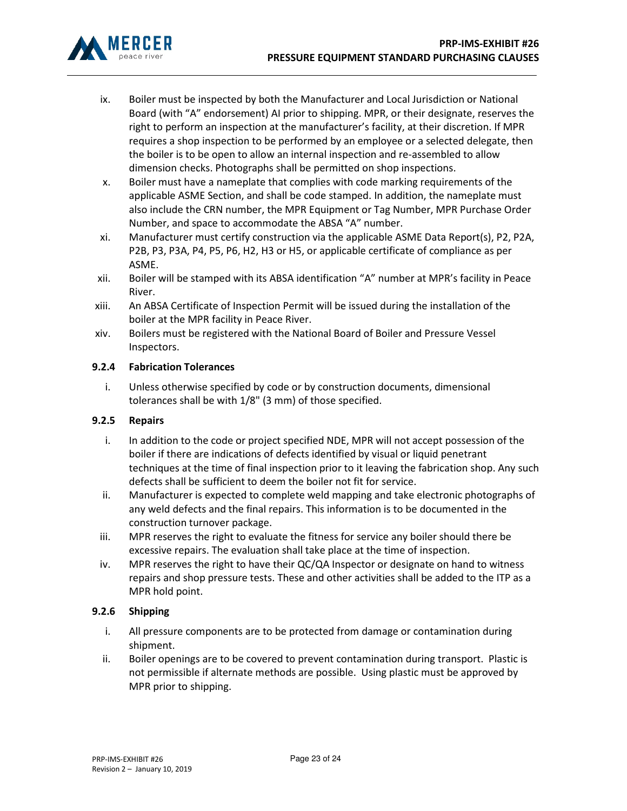

- ix. Boiler must be inspected by both the Manufacturer and Local Jurisdiction or National Board (with "A" endorsement) AI prior to shipping. MPR, or their designate, reserves the right to perform an inspection at the manufacturer's facility, at their discretion. If MPR requires a shop inspection to be performed by an employee or a selected delegate, then the boiler is to be open to allow an internal inspection and re-assembled to allow dimension checks. Photographs shall be permitted on shop inspections.
- x. Boiler must have a nameplate that complies with code marking requirements of the applicable ASME Section, and shall be code stamped. In addition, the nameplate must also include the CRN number, the MPR Equipment or Tag Number, MPR Purchase Order Number, and space to accommodate the ABSA "A" number.
- xi. Manufacturer must certify construction via the applicable ASME Data Report(s), P2, P2A, P2B, P3, P3A, P4, P5, P6, H2, H3 or H5, or applicable certificate of compliance as per ASME.
- xii. Boiler will be stamped with its ABSA identification "A" number at MPR's facility in Peace River.
- xiii. An ABSA Certificate of Inspection Permit will be issued during the installation of the boiler at the MPR facility in Peace River.
- xiv. Boilers must be registered with the National Board of Boiler and Pressure Vessel Inspectors.

# 9.2.4 Fabrication Tolerances

i. Unless otherwise specified by code or by construction documents, dimensional tolerances shall be with 1/8" (3 mm) of those specified.

## 9.2.5 Repairs

- i. In addition to the code or project specified NDE, MPR will not accept possession of the boiler if there are indications of defects identified by visual or liquid penetrant techniques at the time of final inspection prior to it leaving the fabrication shop. Any such defects shall be sufficient to deem the boiler not fit for service.
- ii. Manufacturer is expected to complete weld mapping and take electronic photographs of any weld defects and the final repairs. This information is to be documented in the construction turnover package.
- iii. MPR reserves the right to evaluate the fitness for service any boiler should there be excessive repairs. The evaluation shall take place at the time of inspection.
- iv. MPR reserves the right to have their QC/QA Inspector or designate on hand to witness repairs and shop pressure tests. These and other activities shall be added to the ITP as a MPR hold point.

## 9.2.6 Shipping

- i. All pressure components are to be protected from damage or contamination during shipment.
- ii. Boiler openings are to be covered to prevent contamination during transport. Plastic is not permissible if alternate methods are possible. Using plastic must be approved by MPR prior to shipping.